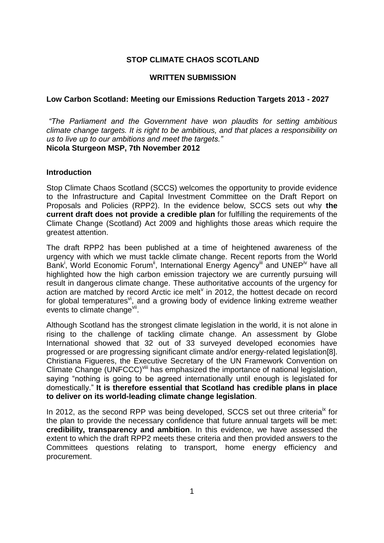## **STOP CLIMATE CHAOS SCOTLAND**

#### **WRITTEN SUBMISSION**

#### **Low Carbon Scotland: Meeting our Emissions Reduction Targets 2013 - 2027**

*"The Parliament and the Government have won plaudits for setting ambitious climate change targets. It is right to be ambitious, and that places a responsibility on us to live up to our ambitions and meet the targets."* **Nicola Sturgeon MSP, 7th November 2012**

#### **Introduction**

Stop Climate Chaos Scotland (SCCS) welcomes the opportunity to provide evidence to the Infrastructure and Capital Investment Committee on the Draft Report on Proposals and Policies (RPP2). In the evidence below, SCCS sets out why **the current draft does not provide a credible plan** for fulfilling the requirements of the Climate Change (Scotland) Act 2009 and highlights those areas which require the greatest attention.

The draft RPP2 has been published at a time of heightened awareness of the urgency with which we must tackle climate change. Recent reports from the World Bank<sup>i</sup>, World Economic Forum<sup>ii</sup>, International Energy Agency<sup>iii</sup> and UNEP<sup>iv</sup> have all highlighted how the high carbon emission trajectory we are currently pursuing will result in dangerous climate change. These authoritative accounts of the urgency for action are matched by record Arctic ice melt $v$  in 2012, the hottest decade on record for global temperatures<sup>vi</sup>, and a growing body of evidence linking extreme weather events to climate change<sup>vii</sup>.

Although Scotland has the strongest climate legislation in the world, it is not alone in rising to the challenge of tackling climate change. An assessment by Globe International showed that 32 out of 33 surveyed developed economies have progressed or are progressing significant climate and/or energy-related legislation[8]. Christiana Figueres, the Executive Secretary of the UN Framework Convention on Climate Change (UNFCCC)<sup>viii</sup> has emphasized the importance of national legislation, saying "nothing is going to be agreed internationally until enough is legislated for domestically." **It is therefore essential that Scotland has credible plans in place to deliver on its world-leading climate change legislation**.

In 2012, as the second RPP was being developed, SCCS set out three criteria<sup>ix</sup> for the plan to provide the necessary confidence that future annual targets will be met: **credibility, transparency and ambition**. In this evidence, we have assessed the extent to which the draft RPP2 meets these criteria and then provided answers to the Committees questions relating to transport, home energy efficiency and procurement.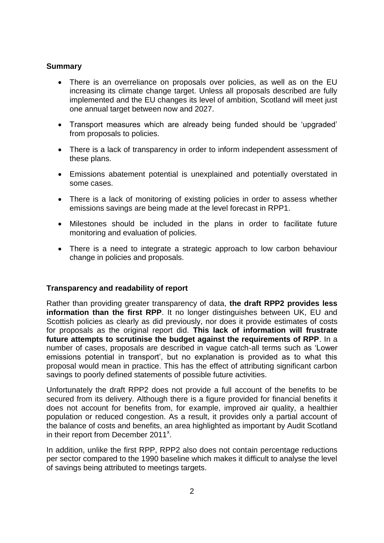## **Summary**

- There is an overreliance on proposals over policies, as well as on the EU increasing its climate change target. Unless all proposals described are fully implemented and the EU changes its level of ambition, Scotland will meet just one annual target between now and 2027.
- Transport measures which are already being funded should be 'upgraded' from proposals to policies.
- There is a lack of transparency in order to inform independent assessment of these plans.
- Emissions abatement potential is unexplained and potentially overstated in some cases.
- There is a lack of monitoring of existing policies in order to assess whether emissions savings are being made at the level forecast in RPP1.
- Milestones should be included in the plans in order to facilitate future monitoring and evaluation of policies.
- There is a need to integrate a strategic approach to low carbon behaviour change in policies and proposals.

## **Transparency and readability of report**

Rather than providing greater transparency of data, **the draft RPP2 provides less information than the first RPP**. It no longer distinguishes between UK, EU and Scottish policies as clearly as did previously, nor does it provide estimates of costs for proposals as the original report did. **This lack of information will frustrate future attempts to scrutinise the budget against the requirements of RPP**. In a number of cases, proposals are described in vague catch-all terms such as 'Lower emissions potential in transport', but no explanation is provided as to what this proposal would mean in practice. This has the effect of attributing significant carbon savings to poorly defined statements of possible future activities.

Unfortunately the draft RPP2 does not provide a full account of the benefits to be secured from its delivery. Although there is a figure provided for financial benefits it does not account for benefits from, for example, improved air quality, a healthier population or reduced congestion. As a result, it provides only a partial account of the balance of costs and benefits, an area highlighted as important by Audit Scotland in their report from December  $2011^{\times}$ .

In addition, unlike the first RPP, RPP2 also does not contain percentage reductions per sector compared to the 1990 baseline which makes it difficult to analyse the level of savings being attributed to meetings targets.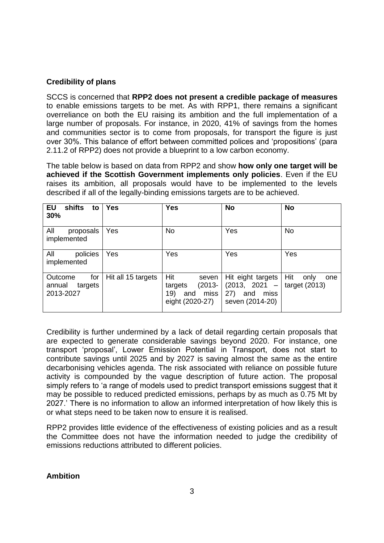# **Credibility of plans**

SCCS is concerned that **RPP2 does not present a credible package of measures** to enable emissions targets to be met. As with RPP1, there remains a significant overreliance on both the EU raising its ambition and the full implementation of a large number of proposals. For instance, in 2020, 41% of savings from the homes and communities sector is to come from proposals, for transport the figure is just over 30%. This balance of effort between committed polices and 'propositions' (para 2.11.2 of RPP2) does not provide a blueprint to a low carbon economy.

The table below is based on data from RPP2 and show **how only one target will be achieved if the Scottish Government implements only policies**. Even if the EU raises its ambition, all proposals would have to be implemented to the levels described if all of the legally-binding emissions targets are to be achieved.

| <b>EU</b><br>shifts<br>to<br>30%                 | <b>Yes</b>         | <b>Yes</b>                                                                    | <b>No</b>                                                                                      | <b>No</b>          |
|--------------------------------------------------|--------------------|-------------------------------------------------------------------------------|------------------------------------------------------------------------------------------------|--------------------|
| All<br>proposals<br>implemented                  | Yes                | <b>No</b>                                                                     | Yes                                                                                            | <b>No</b>          |
| All<br>policies<br>implemented                   | Yes                | Yes                                                                           | Yes                                                                                            | Yes                |
| Outcome<br>for<br>annual<br>targets<br>2013-2027 | Hit all 15 targets | Hit<br>seven<br>$(2013 -$<br>targets<br>miss<br>19)<br>and<br>eight (2020-27) | Hit eight targets<br>$(2013, 2021 -   target (2013))$<br>miss<br>27)<br>and<br>seven (2014-20) | Hit<br>only<br>one |

Credibility is further undermined by a lack of detail regarding certain proposals that are expected to generate considerable savings beyond 2020. For instance, one transport 'proposal', Lower Emission Potential in Transport, does not start to contribute savings until 2025 and by 2027 is saving almost the same as the entire decarbonising vehicles agenda. The risk associated with reliance on possible future activity is compounded by the vague description of future action. The proposal simply refers to 'a range of models used to predict transport emissions suggest that it may be possible to reduced predicted emissions, perhaps by as much as 0.75 Mt by 2027.' There is no information to allow an informed interpretation of how likely this is or what steps need to be taken now to ensure it is realised.

RPP2 provides little evidence of the effectiveness of existing policies and as a result the Committee does not have the information needed to judge the credibility of emissions reductions attributed to different policies.

#### **Ambition**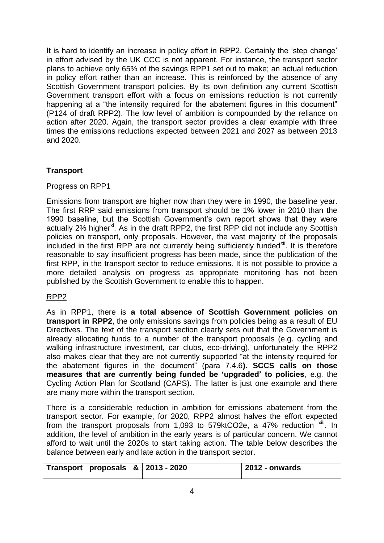It is hard to identify an increase in policy effort in RPP2. Certainly the 'step change' in effort advised by the UK CCC is not apparent. For instance, the transport sector plans to achieve only 65% of the savings RPP1 set out to make; an actual reduction in policy effort rather than an increase. This is reinforced by the absence of any Scottish Government transport policies. By its own definition any current Scottish Government transport effort with a focus on emissions reduction is not currently happening at a "the intensity required for the abatement figures in this document" (P124 of draft RPP2). The low level of ambition is compounded by the reliance on action after 2020. Again, the transport sector provides a clear example with three times the emissions reductions expected between 2021 and 2027 as between 2013 and 2020.

## **Transport**

## Progress on RPP1

Emissions from transport are higher now than they were in 1990, the baseline year. The first RRP said emissions from transport should be 1% lower in 2010 than the 1990 baseline, but the Scottish Government's own report shows that they were actually 2% higher<sup>xi</sup>. As in the draft RPP2, the first RPP did not include any Scottish policies on transport, only proposals. However, the vast majority of the proposals included in the first RPP are not currently being sufficiently funded<sup>xii</sup>. It is therefore reasonable to say insufficient progress has been made, since the publication of the first RPP, in the transport sector to reduce emissions. It is not possible to provide a more detailed analysis on progress as appropriate monitoring has not been published by the Scottish Government to enable this to happen.

## RPP2

As in RPP1, there is **a total absence of Scottish Government policies on transport in RPP2**, the only emissions savings from policies being as a result of EU Directives. The text of the transport section clearly sets out that the Government is already allocating funds to a number of the transport proposals (e.g. cycling and walking infrastructure investment, car clubs, eco-driving), unfortunately the RPP2 also makes clear that they are not currently supported "at the intensity required for the abatement figures in the document" (para 7.4.6**). SCCS calls on those measures that are currently being funded be 'upgraded' to policies**, e.g. the Cycling Action Plan for Scotland (CAPS). The latter is just one example and there are many more within the transport section.

There is a considerable reduction in ambition for emissions abatement from the transport sector. For example, for 2020, RPP2 almost halves the effort expected from the transport proposals from 1,093 to 579ktCO2e, a 47% reduction  $\frac{x}{10}$ . In addition, the level of ambition in the early years is of particular concern. We cannot afford to wait until the 2020s to start taking action. The table below describes the balance between early and late action in the transport sector.

| Transport proposals $\&$ 2013 - 2020 |  | 2012 - onwards |
|--------------------------------------|--|----------------|
|--------------------------------------|--|----------------|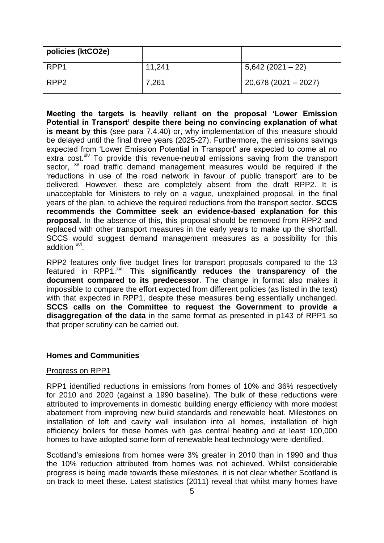| policies (ktCO2e) |        |                       |
|-------------------|--------|-----------------------|
| RPP1              | 11,241 | $5,642(2021-22)$      |
| RPP <sub>2</sub>  | 7,261  | $20,678(2021 - 2027)$ |

**Meeting the targets is heavily reliant on the proposal 'Lower Emission Potential in Transport' despite there being no convincing explanation of what is meant by this** (see para 7.4.40) or, why implementation of this measure should be delayed until the final three years (2025-27). Furthermore, the emissions savings expected from 'Lower Emission Potential in Transport' are expected to come at no extra cost. $x<sup>i</sup>$  To provide this revenue-neutral emissions saving from the transport sector, <sup>xv</sup> road traffic demand management measures would be required if the 'reductions in use of the road network in favour of public transport' are to be delivered. However, these are completely absent from the draft RPP2. It is unacceptable for Ministers to rely on a vague, unexplained proposal, in the final years of the plan, to achieve the required reductions from the transport sector. **SCCS recommends the Committee seek an evidence-based explanation for this proposal.** In the absence of this, this proposal should be removed from RPP2 and replaced with other transport measures in the early years to make up the shortfall. SCCS would suggest demand management measures as a possibility for this addition<sup>xvi</sup>.

RPP2 features only five budget lines for transport proposals compared to the 13 featured in RPP1.<sup>xvii</sup> This significantly reduces the transparency of the **document compared to its predecessor**. The change in format also makes it impossible to compare the effort expected from different policies (as listed in the text) with that expected in RPP1, despite these measures being essentially unchanged. **SCCS calls on the Committee to request the Government to provide a disaggregation of the data** in the same format as presented in p143 of RPP1 so that proper scrutiny can be carried out.

#### **Homes and Communities**

#### Progress on RPP1

RPP1 identified reductions in emissions from homes of 10% and 36% respectively for 2010 and 2020 (against a 1990 baseline). The bulk of these reductions were attributed to improvements in domestic building energy efficiency with more modest abatement from improving new build standards and renewable heat. Milestones on installation of loft and cavity wall insulation into all homes, installation of high efficiency boilers for those homes with gas central heating and at least 100,000 homes to have adopted some form of renewable heat technology were identified.

Scotland's emissions from homes were 3% greater in 2010 than in 1990 and thus the 10% reduction attributed from homes was not achieved. Whilst considerable progress is being made towards these milestones, it is not clear whether Scotland is on track to meet these. Latest statistics (2011) reveal that whilst many homes have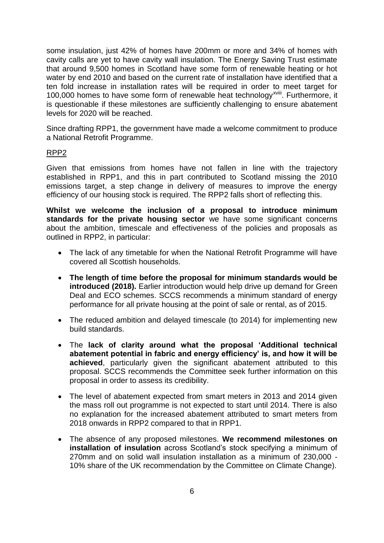some insulation, just 42% of homes have 200mm or more and 34% of homes with cavity calls are yet to have cavity wall insulation. The Energy Saving Trust estimate that around 9,500 homes in Scotland have some form of renewable heating or hot water by end 2010 and based on the current rate of installation have identified that a ten fold increase in installation rates will be required in order to meet target for 100,000 homes to have some form of renewable heat technology<sup>xviii</sup>. Furthermore, it is questionable if these milestones are sufficiently challenging to ensure abatement levels for 2020 will be reached.

Since drafting RPP1, the government have made a welcome commitment to produce a National Retrofit Programme.

#### RPP2

Given that emissions from homes have not fallen in line with the trajectory established in RPP1, and this in part contributed to Scotland missing the 2010 emissions target, a step change in delivery of measures to improve the energy efficiency of our housing stock is required. The RPP2 falls short of reflecting this.

**Whilst we welcome the inclusion of a proposal to introduce minimum standards for the private housing sector** we have some significant concerns about the ambition, timescale and effectiveness of the policies and proposals as outlined in RPP2, in particular:

- The lack of any timetable for when the National Retrofit Programme will have covered all Scottish households.
- **The length of time before the proposal for minimum standards would be introduced (2018).** Earlier introduction would help drive up demand for Green Deal and ECO schemes. SCCS recommends a minimum standard of energy performance for all private housing at the point of sale or rental, as of 2015.
- The reduced ambition and delayed timescale (to 2014) for implementing new build standards.
- The **lack of clarity around what the proposal 'Additional technical abatement potential in fabric and energy efficiency' is, and how it will be achieved**, particularly given the significant abatement attributed to this proposal. SCCS recommends the Committee seek further information on this proposal in order to assess its credibility.
- The level of abatement expected from smart meters in 2013 and 2014 given the mass roll out programme is not expected to start until 2014. There is also no explanation for the increased abatement attributed to smart meters from 2018 onwards in RPP2 compared to that in RPP1.
- The absence of any proposed milestones. **We recommend milestones on installation of insulation** across Scotland's stock specifying a minimum of 270mm and on solid wall insulation installation as a minimum of 230,000 - 10% share of the UK recommendation by the Committee on Climate Change).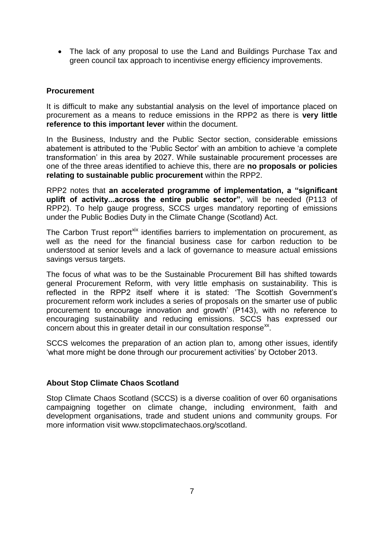• The lack of any proposal to use the Land and Buildings Purchase Tax and green council tax approach to incentivise energy efficiency improvements.

## **Procurement**

It is difficult to make any substantial analysis on the level of importance placed on procurement as a means to reduce emissions in the RPP2 as there is **very little reference to this important lever** within the document.

In the Business, Industry and the Public Sector section, considerable emissions abatement is attributed to the 'Public Sector' with an ambition to achieve 'a complete transformation' in this area by 2027. While sustainable procurement processes are one of the three areas identified to achieve this, there are **no proposals or policies relating to sustainable public procurement** within the RPP2.

RPP2 notes that **an accelerated programme of implementation, a "significant uplift of activity...across the entire public sector"**, will be needed (P113 of RPP2). To help gauge progress, SCCS urges mandatory reporting of emissions under the Public Bodies Duty in the Climate Change (Scotland) Act.

The Carbon Trust report<sup>xix</sup> identifies barriers to implementation on procurement, as well as the need for the financial business case for carbon reduction to be understood at senior levels and a lack of governance to measure actual emissions savings versus targets.

The focus of what was to be the Sustainable Procurement Bill has shifted towards general Procurement Reform, with very little emphasis on sustainability. This is reflected in the RPP2 itself where it is stated: 'The Scottish Government's procurement reform work includes a series of proposals on the smarter use of public procurement to encourage innovation and growth' (P143), with no reference to encouraging sustainability and reducing emissions. SCCS has expressed our concern about this in greater detail in our consultation response<sup>xx</sup>.

SCCS welcomes the preparation of an action plan to, among other issues, identify 'what more might be done through our procurement activities' by October 2013.

## **About Stop Climate Chaos Scotland**

Stop Climate Chaos Scotland (SCCS) is a diverse coalition of over 60 organisations campaigning together on climate change, including environment, faith and development organisations, trade and student unions and community groups. For more information visit www.stopclimatechaos.org/scotland.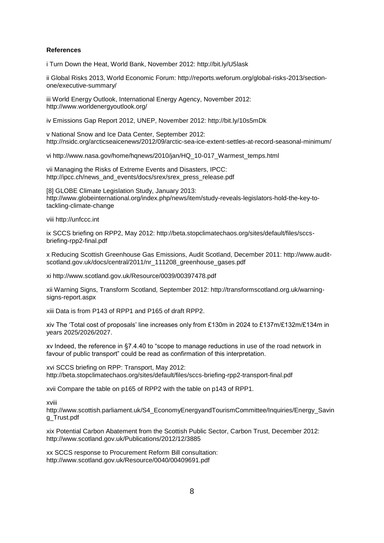#### **References**

i Turn Down the Heat, World Bank, November 2012: http://bit.ly/U5lask

ii Global Risks 2013, World Economic Forum: http://reports.weforum.org/global-risks-2013/sectionone/executive-summary/

iii World Energy Outlook, International Energy Agency, November 2012: http://www.worldenergyoutlook.org/

iv Emissions Gap Report 2012, UNEP, November 2012: http://bit.ly/10s5mDk

v National Snow and Ice Data Center, September 2012: http://nsidc.org/arcticseaicenews/2012/09/arctic-sea-ice-extent-settles-at-record-seasonal-minimum/

vi http://www.nasa.gov/home/hqnews/2010/jan/HQ\_10-017\_Warmest\_temps.html

vii Managing the Risks of Extreme Events and Disasters, IPCC: http://ipcc.ch/news\_and\_events/docs/srex/srex\_press\_release.pdf

[8] GLOBE Climate Legislation Study, January 2013; http://www.globeinternational.org/index.php/news/item/study-reveals-legislators-hold-the-key-totackling-climate-change

viii http://unfccc.int

ix SCCS briefing on RPP2, May 2012: http://beta.stopclimatechaos.org/sites/default/files/sccsbriefing-rpp2-final.pdf

x Reducing Scottish Greenhouse Gas Emissions, Audit Scotland, December 2011: http://www.auditscotland.gov.uk/docs/central/2011/nr\_111208\_greenhouse\_gases.pdf

xi http://www.scotland.gov.uk/Resource/0039/00397478.pdf

xii Warning Signs, Transform Scotland, September 2012: http://transformscotland.org.uk/warningsigns-report.aspx

xiii Data is from P143 of RPP1 and P165 of draft RPP2.

xiv The 'Total cost of proposals' line increases only from £130m in 2024 to £137m/£132m/£134m in years 2025/2026/2027.

xv Indeed, the reference in §7.4.40 to "scope to manage reductions in use of the road network in favour of public transport" could be read as confirmation of this interpretation.

xvi SCCS briefing on RPP: Transport, May 2012: http://beta.stopclimatechaos.org/sites/default/files/sccs-briefing-rpp2-transport-final.pdf

xvii Compare the table on p165 of RPP2 with the table on p143 of RPP1.

xviii

http://www.scottish.parliament.uk/S4\_EconomyEnergyandTourismCommittee/Inquiries/Energy\_Savin g\_Trust.pdf

xix Potential Carbon Abatement from the Scottish Public Sector, Carbon Trust, December 2012: http://www.scotland.gov.uk/Publications/2012/12/3885

xx SCCS response to Procurement Reform Bill consultation: http://www.scotland.gov.uk/Resource/0040/00409691.pdf